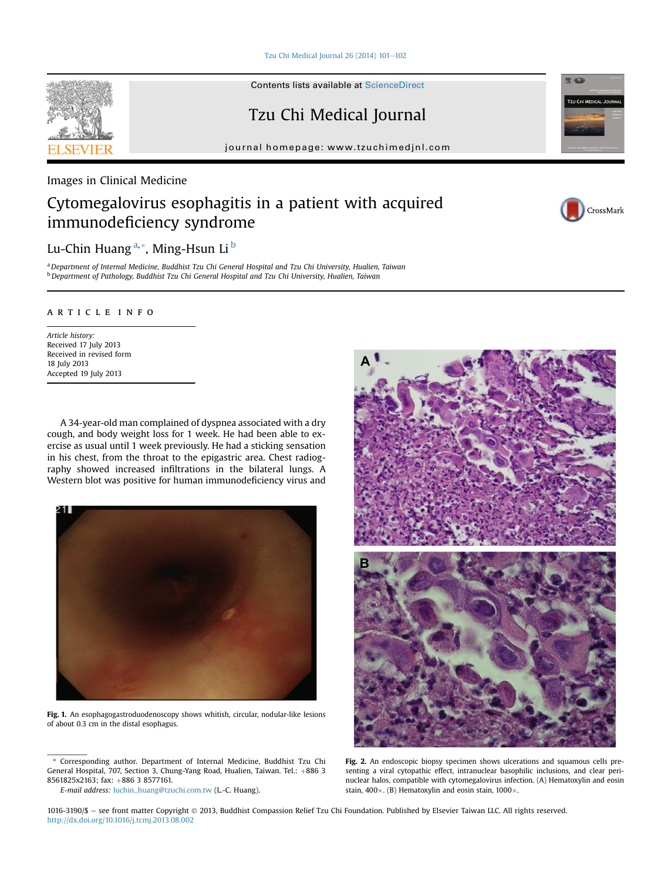Tzu Chi Medical Journal 26 (2014)  $101-102$  $101-102$ 

Contents lists available at [ScienceDirect](www.sciencedirect.com/science/journal/10163190)

Tzu Chi Medical Journal

journal homepage: [www.tzuchimedjnl.com](http://www.tzuchimedjnl.com)

<span id="page-0-0"></span>Images in Clinical Medicine

## Cytomegalovirus esophagitis in a patient with acquired immunodeficiency syndrome



**REACH** 

**TZU CHI MEDICAL JOUR** 

Lu-Chin Huang<sup>a,\*</sup>, Ming-Hsun Li<sup>b</sup>

a Department of Internal Medicine, Buddhist Tzu Chi General Hospital and Tzu Chi University, Hualien, Taiwan <sup>b</sup> Department of Pathology, Buddhist Tzu Chi General Hospital and Tzu Chi University, Hualien, Taiwan

## article info

Article history: Received 17 July 2013 Received in revised form 18 July 2013 Accepted 19 July 2013

A 34-year-old man complained of dyspnea associated with a dry cough, and body weight loss for 1 week. He had been able to exercise as usual until 1 week previously. He had a sticking sensation in his chest, from the throat to the epigastric area. Chest radiography showed increased infiltrations in the bilateral lungs. A Western blot was positive for human immunodeficiency virus and



Fig. 1. An esophagogastroduodenoscopy shows whitish, circular, nodular-like lesions of about 0.3 cm in the distal esophagus.

E-mail address: [luchin\\_huang@tzuchi.com.tw](mailto:luchin_huang@tzuchi.com.tw) (L.-C. Huang).



Fig. 2. An endoscopic biopsy specimen shows ulcerations and squamous cells presenting a viral cytopathic effect, intranuclear basophilic inclusions, and clear perinuclear halos, compatible with cytomegalovirus infection. (A) Hematoxylin and eosin stain,  $400 \times$ . (B) Hematoxylin and eosin stain,  $1000 \times$ .

1016-3190/\$ - see front matter Copyright © 2013, Buddhist Compassion Relief Tzu Chi Foundation. Published by Elsevier Taiwan LLC. All rights reserved. <http://dx.doi.org/10.1016/j.tcmj.2013.08.002>

<sup>\*</sup> Corresponding author. Department of Internal Medicine, Buddhist Tzu Chi General Hospital, 707, Section 3, Chung-Yang Road, Hualien, Taiwan. Tel.: +886 3 8561825x2163; fax: +886 3 8577161.